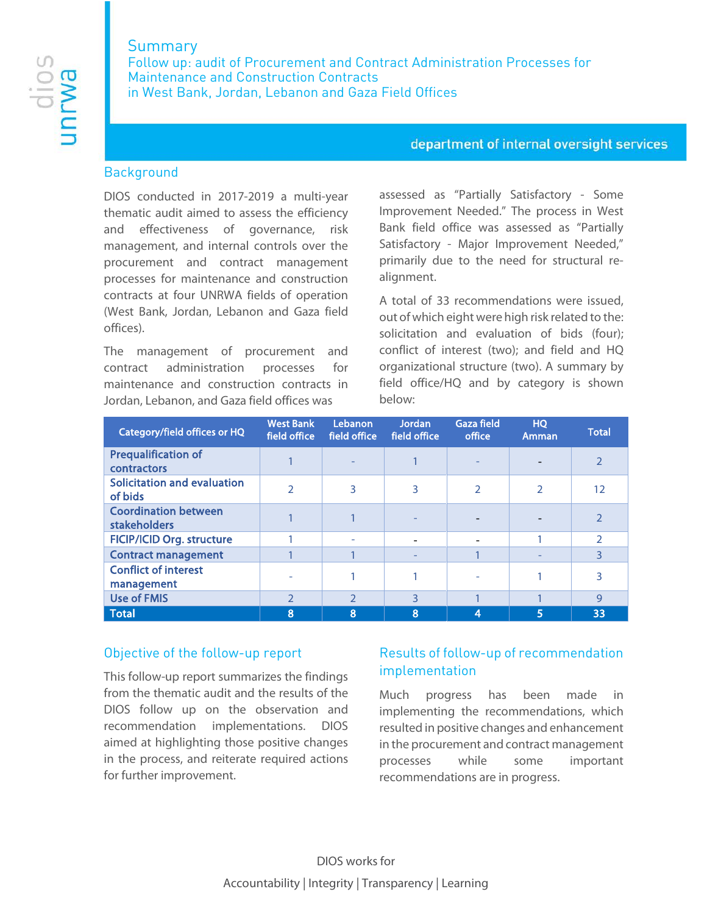# Summary

Follow up: audit of Procurement and Contract Administration Processes for Maintenance and Construction Contracts in West Bank, Jordan, Lebanon and Gaza Field Offices

### department of internal oversight services

### **Background**

DIOS conducted in 2017-2019 a multi-year thematic audit aimed to assess the efficiency and effectiveness of governance, risk management, and internal controls over the procurement and contract management processes for maintenance and construction contracts at four UNRWA fields of operation (West Bank, Jordan, Lebanon and Gaza field offices).

The management of procurement and contract administration processes for maintenance and construction contracts in Jordan, Lebanon, and Gaza field offices was

assessed as "Partially Satisfactory - Some Improvement Needed." The process in West Bank field office was assessed as "Partially Satisfactory - Major Improvement Needed," primarily due to the need for structural realignment.

A total of 33 recommendations were issued, out of which eight were high risk related to the: solicitation and evaluation of bids (four); conflict of interest (two); and field and HQ organizational structure (two). A summary by field office/HQ and by category is shown below:

| Category/field offices or HQ                       | <b>West Bank</b><br>field office | Lebanon<br>field office | <b>Jordan</b><br>field office | <b>Gaza field</b><br>office | <b>HQ</b><br>Amman | <b>Total</b>   |
|----------------------------------------------------|----------------------------------|-------------------------|-------------------------------|-----------------------------|--------------------|----------------|
| <b>Prequalification of</b><br>contractors          |                                  |                         |                               |                             |                    | $\overline{2}$ |
| <b>Solicitation and evaluation</b><br>of bids      | $\mathcal{P}$                    | 3                       | 3                             | C                           | C                  | 12             |
| <b>Coordination between</b><br><b>stakeholders</b> |                                  |                         |                               |                             |                    | $\mathcal{P}$  |
| <b>FICIP/ICID Org. structure</b>                   |                                  |                         | $\overline{\phantom{0}}$      |                             |                    | $\mathfrak{D}$ |
| <b>Contract management</b>                         |                                  |                         |                               |                             |                    | 3              |
| <b>Conflict of interest</b><br>management          |                                  |                         |                               |                             |                    | 3              |
| <b>Use of FMIS</b>                                 | $\mathcal{P}$                    | $\mathcal{P}$           | 3                             |                             |                    | $\mathsf{Q}$   |
| <b>Total</b>                                       | 8                                | 8                       | 8                             | ⊿                           | 5                  | 33             |

## Objective of the follow-up report

This follow-up report summarizes the findings from the thematic audit and the results of the DIOS follow up on the observation and recommendation implementations. DIOS aimed at highlighting those positive changes in the process, and reiterate required actions for further improvement.

# Results of follow-up of recommendation implementation

Much progress has been made in implementing the recommendations, which resulted in positive changes and enhancement in the procurement and contract management processes while some important recommendations are in progress.